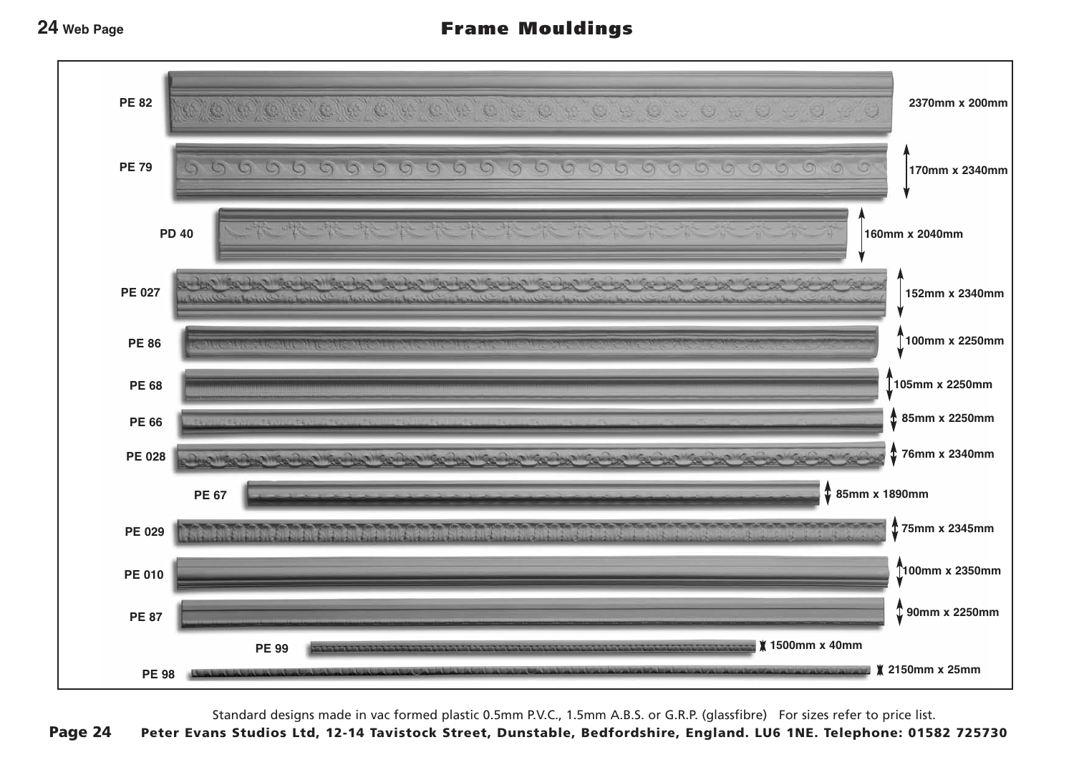### **24 Web Page**

# Frame Mouldings



Standard designs made in vac formed plastic 0.5mm P.V.C., 1.5mm A.B.S. or G.R.P. (glassfibre) For sizes refer to price list.

Page 24 Peter Evans Studios Ltd, 12-14 Tavistock Street, Dunstable, Bedfordshire, England. LU6 1NE. Telephone: 01582 725730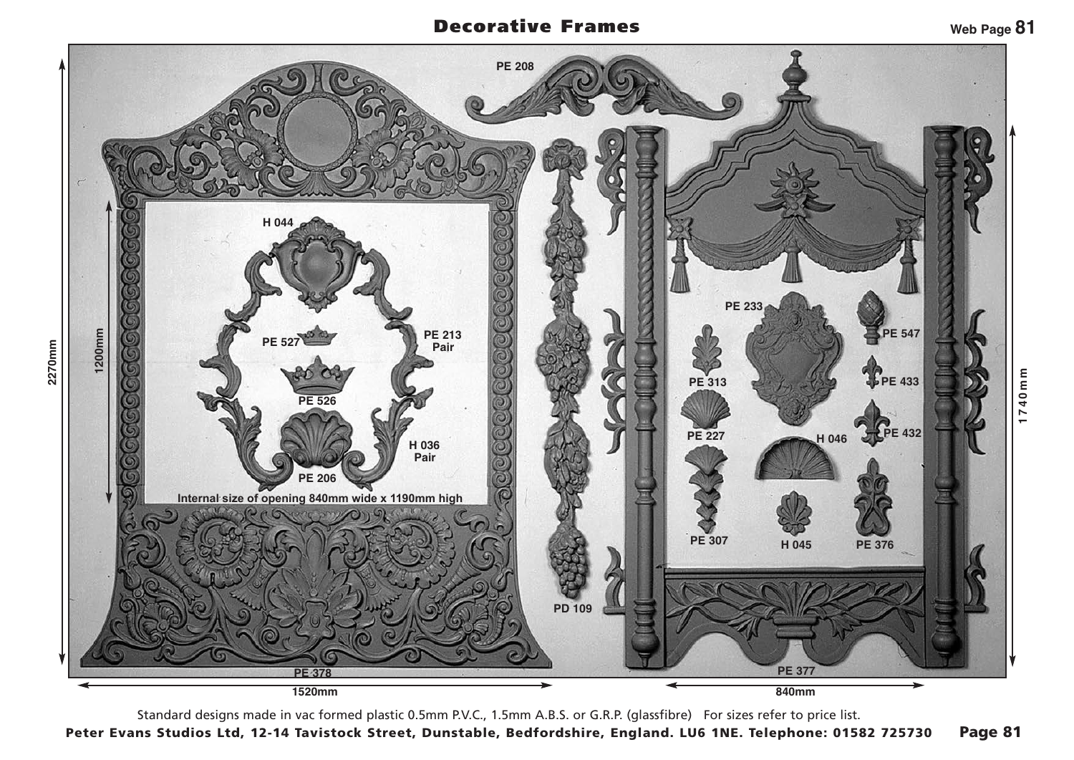## Decorative Frames



Standard designs made in vac formed plastic 0.5mm P.V.C., 1.5mm A.B.S. or G.R.P. (glassfibre) For sizes refer to price list. Peter Evans Studios Ltd, 12-14 Tavistock Street, Dunstable, Bedfordshire, England. LU6 1NE. Telephone: 01582 725730 Page 81

**Web Page 81**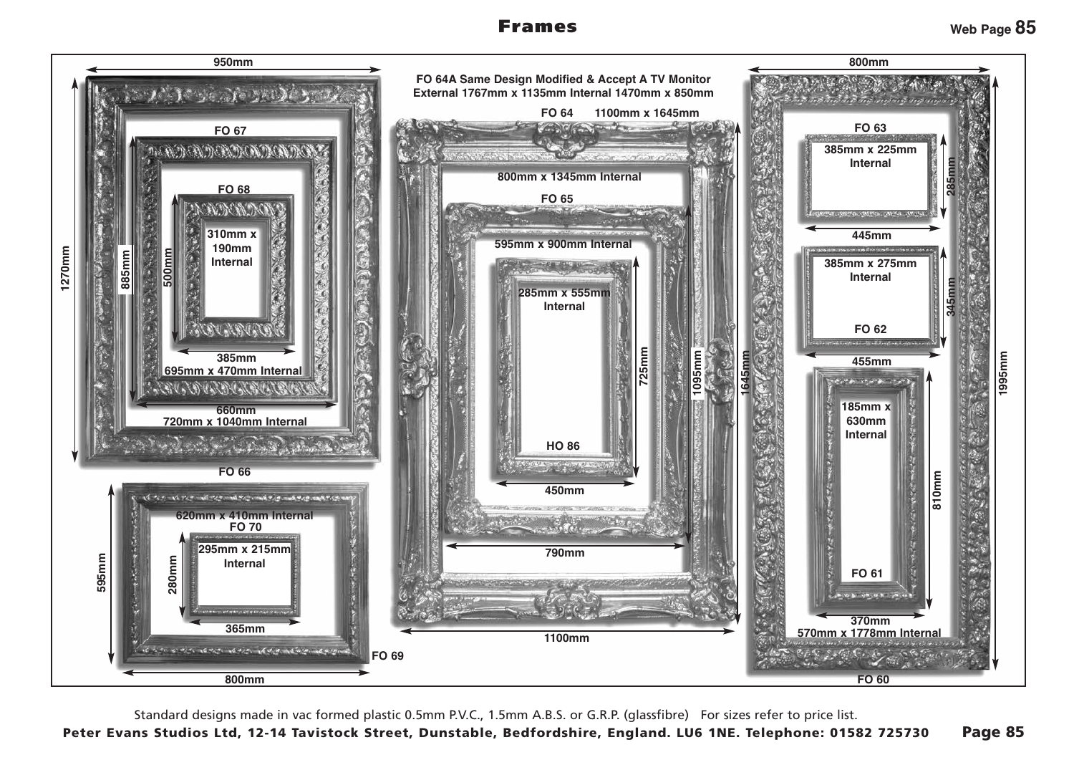## Frames



Standard designs made in vac formed plastic 0.5mm P.V.C., 1.5mm A.B.S. or G.R.P. (glassfibre) For sizes refer to price list.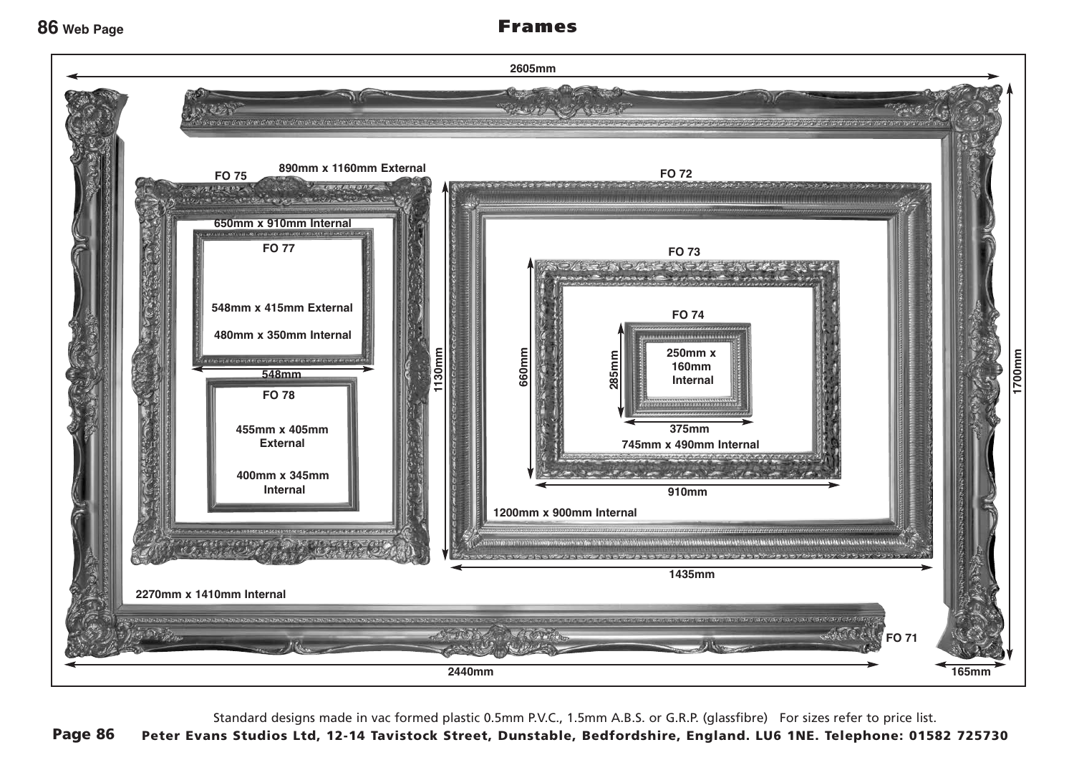### **86 Web Page**

# Frames



Standard designs made in vac formed plastic 0.5mm P.V.C., 1.5mm A.B.S. or G.R.P. (glassfibre) For sizes refer to price list.

Page 86 Peter Evans Studios Ltd, 12-14 Tavistock Street, Dunstable, Bedfordshire, England. LU6 1NE. Telephone: 01582 725730